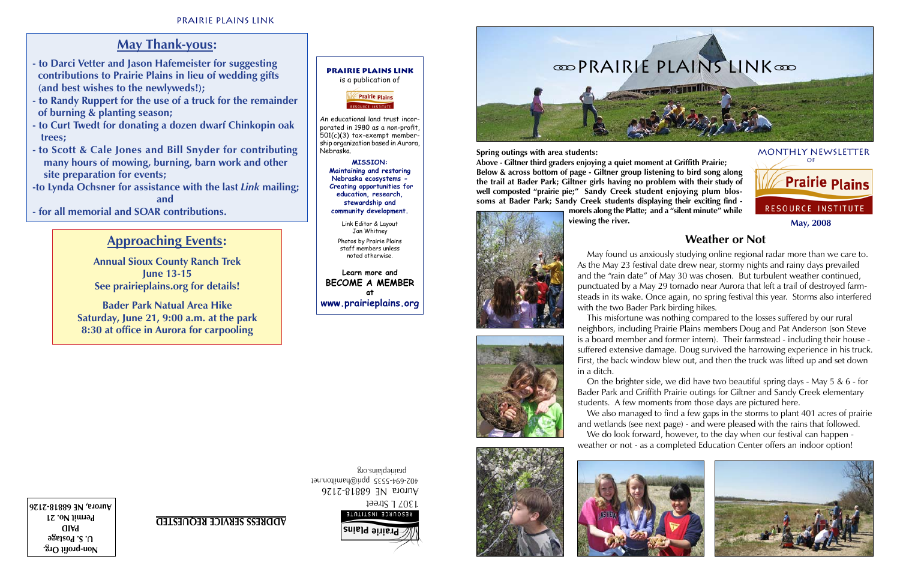

**Non-profit Org. U. S. Postage PAID Permit No. 21 Aurora, NE 68818-2126** 1307 L Street

- **to Darci Vetter and Jason Hafemeister for suggesting contributions to Prairie Plains in lieu of wedding gifts (and best wishes to the newlyweds!);**
- **to Randy Ruppert for the use of a truck for the remainder of burning & planting season;**
- **to Curt Twedt for donating a dozen dwarf Chinkopin oak trees;**
- **to Scott & Cale Jones and Bill Snyder for contributing many hours of mowing, burning, barn work and other site preparation for events;**
- **-to Lynda Ochsner for assistance with the last** *Link* **mailing;**  *and* and  $\overline{a}$  and  $\overline{a}$

Aurora NE 68818-2126 402-694-5535 ppri@hamilton.net prairieplains.org



**ADDRESS SERVICE REQUESTED**

# **May Thank-yous:**

**Prairie Plains Link** is a publication of **Prairie Plains** 

**- for all memorial and SOAR contributions.** 

# **Approaching Events:**

**Annual Sioux County Ranch Trek June 13-15 See prairieplains.org for details!**

**Bader Park Natual Area Hike Saturday, June 21, 9:00 a.m. at the park 8:30 at office in Aurora for carpooling**



An educational land trust incorporated in 1980 as a non-profit, 501(c)(3) tax-exempt membership organization based in Aurora, Nebraska.

> **MISSION: Maintaining and restoring Nebraska ecosystems - Creating opportunities for education, research, stewardship and community development.**

Link Editor & Layout Jan Whitney Photos by Prairie Plains staff members unless noted otherwise.

**Learn more and BECOME A MEMBER at www.prairieplains.org**

## **Weather or Not**



 May found us anxiously studying online regional radar more than we care to. As the May 23 festival date drew near, stormy nights and rainy days prevailed and the "rain date" of May 30 was chosen. But turbulent weather continued, punctuated by a May 29 tornado near Aurora that left a trail of destroyed farmsteads in its wake. Once again, no spring festival this year. Storms also interfered with the two Bader Park birding hikes.

 This misfortune was nothing compared to the losses suffered by our rural neighbors, including Prairie Plains members Doug and Pat Anderson (son Steve is a board member and former intern). Their farmstead - including their house suffered extensive damage. Doug survived the harrowing experience in his truck. First, the back window blew out, and then the truck was lifted up and set down in a ditch.

 On the brighter side, we did have two beautiful spring days - May 5 & 6 - for Bader Park and Griffith Prairie outings for Giltner and Sandy Creek elementary students. A few moments from those days are pictured here.

 We also managed to find a few gaps in the storms to plant 401 acres of prairie and wetlands (see next page) - and were pleased with the rains that followed. We do look forward, however, to the day when our festival can happen weather or not - as a completed Education Center offers an indoor option!



**Spring outings with area students:** 

**Above - Giltner third graders enjoying a quiet moment at Griffith Prairie; Below & across bottom of page - Giltner group listening to bird song along the trail at Bader Park; Giltner girls having no problem with their study of well composted "prairie pie;" Sandy Creek student enjoying plum blossoms at Bader Park; Sandy Creek students displaying their exciting find morels along the Platte; and a "silent minute" while** 



**viewing the river.**